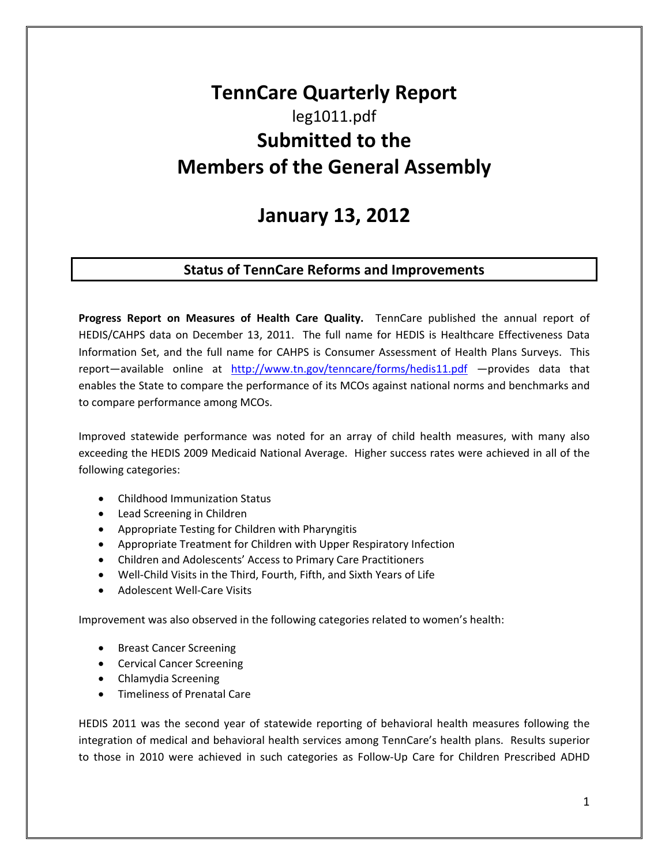# **TennCare Quarterly Report** leg1011.pdf **Submitted to the Members of the General Assembly**

## **January 13, 2012**

### **Status of TennCare Reforms and Improvements**

**Progress Report on Measures of Health Care Quality.**  TennCare published the annual report of HEDIS/CAHPS data on December 13, 2011. The full name for HEDIS is Healthcare Effectiveness Data Information Set, and the full name for CAHPS is Consumer Assessment of Health Plans Surveys. This report—available online at http://www.tn.gov/tenncare/forms/hedis11.pdf —provides data that enables the State to compare the performance of its MCOs against national norms and benchmarks and to compare performance among MCOs.

Improved statewide performance was noted for an array of child health measures, with many also exceeding the HEDIS 2009 Medicaid National Average. Higher success rates were achieved in all of the following categories:

- Childhood Immunization Status
- Lead Screening in Children
- Appropriate Testing for Children with Pharyngitis
- Appropriate Treatment for Children with Upper Respiratory Infection
- Children and Adolescents' Access to Primary Care Practitioners
- Well‐Child Visits in the Third, Fourth, Fifth, and Sixth Years of Life
- Adolescent Well-Care Visits

Improvement was also observed in the following categories related to women's health:

- Breast Cancer Screening
- Cervical Cancer Screening
- Chlamydia Screening
- Timeliness of Prenatal Care

HEDIS 2011 was the second year of statewide reporting of behavioral health measures following the integration of medical and behavioral health services among TennCare's health plans. Results superior to those in 2010 were achieved in such categories as Follow‐Up Care for Children Prescribed ADHD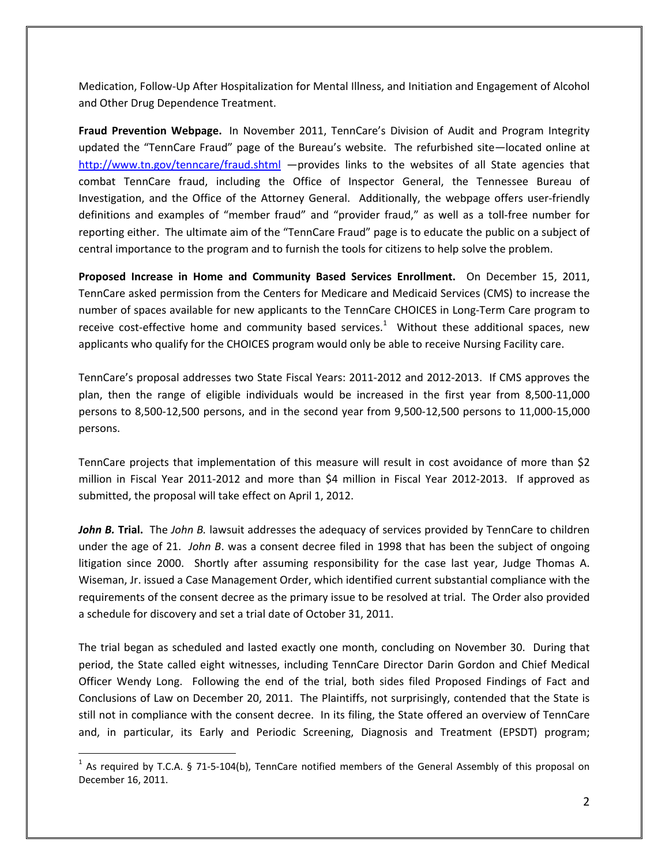Medication, Follow‐Up After Hospitalization for Mental Illness, and Initiation and Engagement of Alcohol and Other Drug Dependence Treatment.

**Fraud Prevention Webpage.** In November 2011, TennCare's Division of Audit and Program Integrity updated the "TennCare Fraud" page of the Bureau's website. The refurbished site—located online at http://www.tn.gov/tenncare/fraud.shtml —provides links to the websites of all State agencies that combat TennCare fraud, including the Office of Inspector General, the Tennessee Bureau of Investigation, and the Office of the Attorney General. Additionally, the webpage offers user‐friendly definitions and examples of "member fraud" and "provider fraud," as well as a toll‐free number for reporting either. The ultimate aim of the "TennCare Fraud" page is to educate the public on a subject of central importance to the program and to furnish the tools for citizens to help solve the problem.

**Proposed Increase in Home and Community Based Services Enrollment.**  On December 15, 2011, TennCare asked permission from the Centers for Medicare and Medicaid Services (CMS) to increase the number of spaces available for new applicants to the TennCare CHOICES in Long‐Term Care program to receive cost-effective home and community based services.<sup>1</sup> Without these additional spaces, new applicants who qualify for the CHOICES program would only be able to receive Nursing Facility care.

TennCare's proposal addresses two State Fiscal Years: 2011‐2012 and 2012‐2013. If CMS approves the plan, then the range of eligible individuals would be increased in the first year from 8,500‐11,000 persons to 8,500‐12,500 persons, and in the second year from 9,500‐12,500 persons to 11,000‐15,000 persons.

TennCare projects that implementation of this measure will result in cost avoidance of more than \$2 million in Fiscal Year 2011-2012 and more than \$4 million in Fiscal Year 2012-2013. If approved as submitted, the proposal will take effect on April 1, 2012.

*John B.* **Trial.** The *John B.* lawsuit addresses the adequacy of services provided by TennCare to children under the age of 21. *John B*. was a consent decree filed in 1998 that has been the subject of ongoing litigation since 2000. Shortly after assuming responsibility for the case last year, Judge Thomas A. Wiseman, Jr. issued a Case Management Order, which identified current substantial compliance with the requirements of the consent decree as the primary issue to be resolved at trial. The Order also provided a schedule for discovery and set a trial date of October 31, 2011.

The trial began as scheduled and lasted exactly one month, concluding on November 30. During that period, the State called eight witnesses, including TennCare Director Darin Gordon and Chief Medical Officer Wendy Long. Following the end of the trial, both sides filed Proposed Findings of Fact and Conclusions of Law on December 20, 2011. The Plaintiffs, not surprisingly, contended that the State is still not in compliance with the consent decree. In its filing, the State offered an overview of TennCare and, in particular, its Early and Periodic Screening, Diagnosis and Treatment (EPSDT) program;

 $1$  As required by T.C.A. § 71-5-104(b), TennCare notified members of the General Assembly of this proposal on December 16, 2011.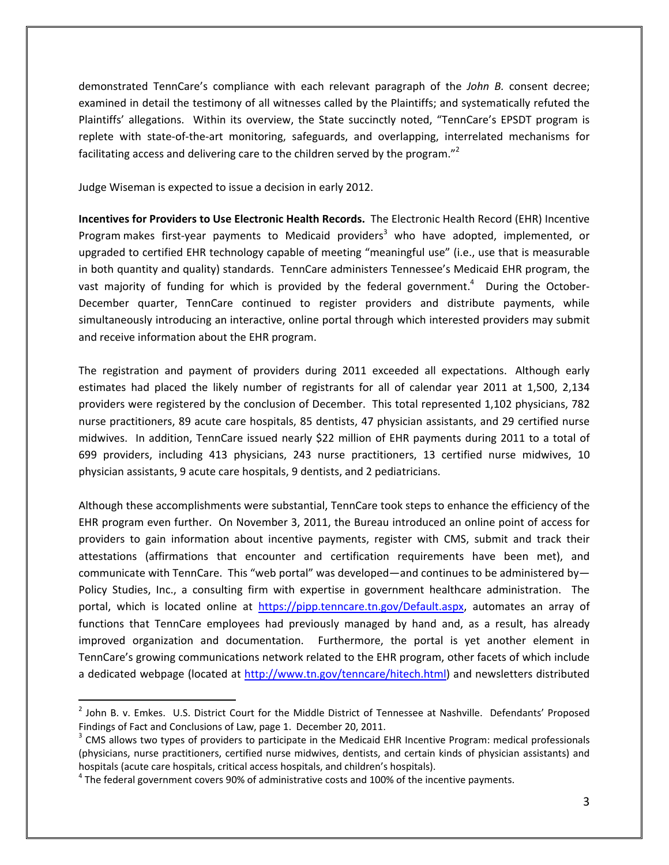demonstrated TennCare's compliance with each relevant paragraph of the *John B.* consent decree; examined in detail the testimony of all witnesses called by the Plaintiffs; and systematically refuted the Plaintiffs' allegations. Within its overview, the State succinctly noted, "TennCare's EPSDT program is replete with state‐of‐the‐art monitoring, safeguards, and overlapping, interrelated mechanisms for facilitating access and delivering care to the children served by the program."<sup>2</sup>

Judge Wiseman is expected to issue a decision in early 2012.

**Incentives for Providers to Use Electronic Health Records.** The Electronic Health Record (EHR) Incentive Program makes first-year payments to Medicaid providers<sup>3</sup> who have adopted, implemented, or upgraded to certified EHR technology capable of meeting "meaningful use" (i.e., use that is measurable in both quantity and quality) standards. TennCare administers Tennessee's Medicaid EHR program, the vast majority of funding for which is provided by the federal government.<sup>4</sup> During the October-December quarter, TennCare continued to register providers and distribute payments, while simultaneously introducing an interactive, online portal through which interested providers may submit and receive information about the EHR program.

The registration and payment of providers during 2011 exceeded all expectations. Although early estimates had placed the likely number of registrants for all of calendar year 2011 at 1,500, 2,134 providers were registered by the conclusion of December. This total represented 1,102 physicians, 782 nurse practitioners, 89 acute care hospitals, 85 dentists, 47 physician assistants, and 29 certified nurse midwives. In addition, TennCare issued nearly \$22 million of EHR payments during 2011 to a total of 699 providers, including 413 physicians, 243 nurse practitioners, 13 certified nurse midwives, 10 physician assistants, 9 acute care hospitals, 9 dentists, and 2 pediatricians.

Although these accomplishments were substantial, TennCare took steps to enhance the efficiency of the EHR program even further. On November 3, 2011, the Bureau introduced an online point of access for providers to gain information about incentive payments, register with CMS, submit and track their attestations (affirmations that encounter and certification requirements have been met), and communicate with TennCare. This "web portal" was developed—and continues to be administered by— Policy Studies, Inc., a consulting firm with expertise in government healthcare administration. The portal, which is located online at https://pipp.tenncare.tn.gov/Default.aspx, automates an array of functions that TennCare employees had previously managed by hand and, as a result, has already improved organization and documentation. Furthermore, the portal is yet another element in TennCare's growing communications network related to the EHR program, other facets of which include a dedicated webpage (located at http://www.tn.gov/tenncare/hitech.html) and newsletters distributed

<sup>&</sup>lt;sup>2</sup> John B. v. Emkes. U.S. District Court for the Middle District of Tennessee at Nashville. Defendants' Proposed Findings of Fact and Conclusions of Law, page 1. December 20, 2011.<br><sup>3</sup> CMS allows two types of providers to participate in the Medicaid EHR Incentive Program: medical professionals

<sup>(</sup>physicians, nurse practitioners, certified nurse midwives, dentists, and certain kinds of physician assistants) and hospitals (acute care hospitals, critical access hospitals, and children's hospitals).<br><sup>4</sup> The federal government covers 90% of administrative costs and 100% of the incentive payments.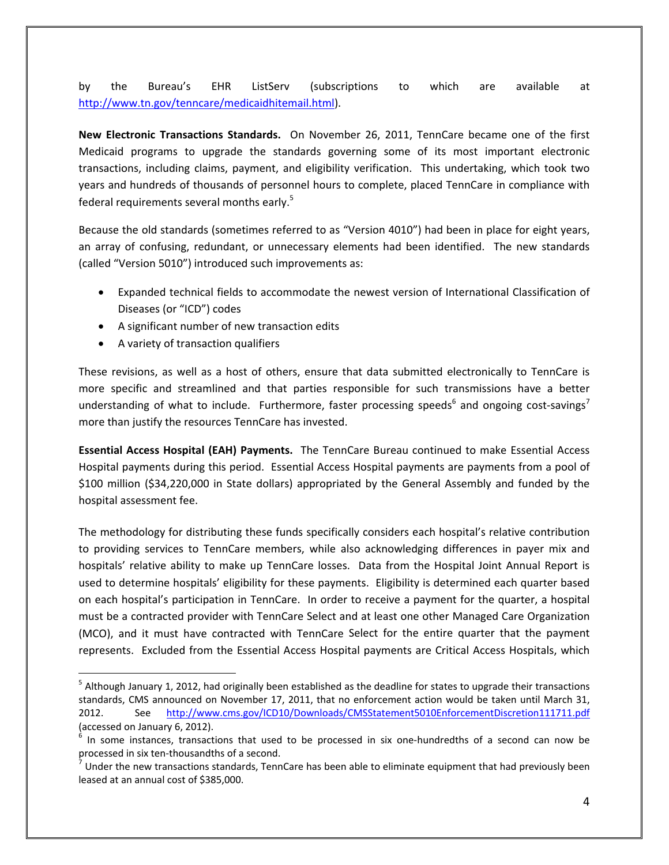by the Bureau's EHR ListServ (subscriptions to which are available at http://www.tn.gov/tenncare/medicaidhitemail.html).

**New Electronic Transactions Standards.** On November 26, 2011, TennCare became one of the first Medicaid programs to upgrade the standards governing some of its most important electronic transactions, including claims, payment, and eligibility verification. This undertaking, which took two years and hundreds of thousands of personnel hours to complete, placed TennCare in compliance with federal requirements several months early.<sup>5</sup>

Because the old standards (sometimes referred to as "Version 4010") had been in place for eight years, an array of confusing, redundant, or unnecessary elements had been identified. The new standards (called "Version 5010") introduced such improvements as:

- Expanded technical fields to accommodate the newest version of International Classification of Diseases (or "ICD") codes
- A significant number of new transaction edits
- A variety of transaction qualifiers

These revisions, as well as a host of others, ensure that data submitted electronically to TennCare is more specific and streamlined and that parties responsible for such transmissions have a better understanding of what to include. Furthermore, faster processing speeds<sup>6</sup> and ongoing cost-savings<sup>7</sup> more than justify the resources TennCare has invested.

**Essential Access Hospital (EAH) Payments.** The TennCare Bureau continued to make Essential Access Hospital payments during this period. Essential Access Hospital payments are payments from a pool of \$100 million (\$34,220,000 in State dollars) appropriated by the General Assembly and funded by the hospital assessment fee.

The methodology for distributing these funds specifically considers each hospital's relative contribution to providing services to TennCare members, while also acknowledging differences in payer mix and hospitals' relative ability to make up TennCare losses. Data from the Hospital Joint Annual Report is used to determine hospitals' eligibility for these payments. Eligibility is determined each quarter based on each hospital's participation in TennCare. In order to receive a payment for the quarter, a hospital must be a contracted provider with TennCare Select and at least one other Managed Care Organization (MCO), and it must have contracted with TennCare Select for the entire quarter that the payment represents. Excluded from the Essential Access Hospital payments are Critical Access Hospitals, which

<sup>&</sup>lt;sup>5</sup> Although January 1, 2012, had originally been established as the deadline for states to upgrade their transactions standards, CMS announced on November 17, 2011, that no enforcement action would be taken until March 31, 2012. See http://www.cms.gov/ICD10/Downloads/CMSStatement5010EnforcementDiscretion111711.pdf (accessed on January 6, 2012).<br> $\frac{6}{10}$  In some instances, transactions that used to be processed in six one-hundredths of a second can now be

processed in six ten-thousandths of a second.<br><sup>7</sup> Under the new transactions standards, TennCare has been able to eliminate equipment that had previously been

leased at an annual cost of \$385,000.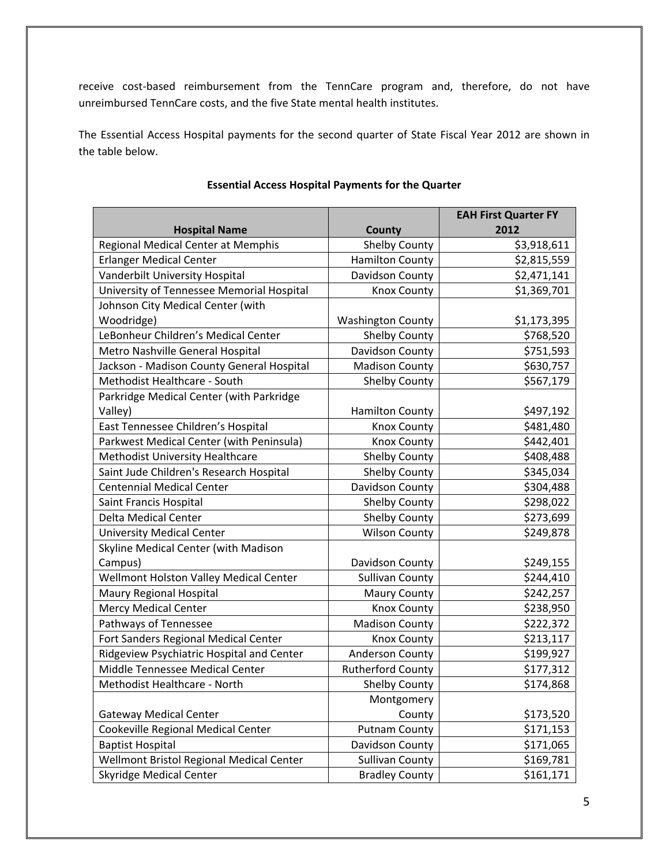receive cost-based reimbursement from the TennCare program and, therefore, do not have unreimbursed TennCare costs, and the five State mental health institutes.

The Essential Access Hospital payments for the second quarter of State Fiscal Year 2012 are shown in the table below.

| <b>Hospital Name</b>                      | <b>County</b>            | <b>EAH First Quarter FY</b><br>2012 |
|-------------------------------------------|--------------------------|-------------------------------------|
| Regional Medical Center at Memphis        | Shelby County            | \$3,918,611                         |
| <b>Erlanger Medical Center</b>            | <b>Hamilton County</b>   | \$2,815,559                         |
| Vanderbilt University Hospital            | Davidson County          | \$2,471,141                         |
| University of Tennessee Memorial Hospital | <b>Knox County</b>       | \$1,369,701                         |
| Johnson City Medical Center (with         |                          |                                     |
| Woodridge)                                | <b>Washington County</b> | \$1,173,395                         |
| LeBonheur Children's Medical Center       | <b>Shelby County</b>     | \$768,520                           |
| Metro Nashville General Hospital          | Davidson County          | \$751,593                           |
| Jackson - Madison County General Hospital | <b>Madison County</b>    | \$630,757                           |
| Methodist Healthcare - South              | Shelby County            | \$567,179                           |
| Parkridge Medical Center (with Parkridge  |                          |                                     |
| Valley)                                   | <b>Hamilton County</b>   | \$497,192                           |
| East Tennessee Children's Hospital        | Knox County              | \$481,480                           |
| Parkwest Medical Center (with Peninsula)  | <b>Knox County</b>       | \$442,401                           |
| Methodist University Healthcare           | Shelby County            | \$408,488                           |
| Saint Jude Children's Research Hospital   | Shelby County            | \$345,034                           |
| <b>Centennial Medical Center</b>          | Davidson County          | \$304,488                           |
| Saint Francis Hospital                    | <b>Shelby County</b>     | \$298,022                           |
| <b>Delta Medical Center</b>               | Shelby County            | \$273,699                           |
| <b>University Medical Center</b>          | <b>Wilson County</b>     | \$249,878                           |
| Skyline Medical Center (with Madison      |                          |                                     |
| Campus)                                   | Davidson County          | \$249,155                           |
| Wellmont Holston Valley Medical Center    | <b>Sullivan County</b>   | \$244,410                           |
| Maury Regional Hospital                   | <b>Maury County</b>      | \$242,257                           |
| <b>Mercy Medical Center</b>               | <b>Knox County</b>       | \$238,950                           |
| Pathways of Tennessee                     | <b>Madison County</b>    | \$222,372                           |
| Fort Sanders Regional Medical Center      | Knox County              | \$213,117                           |
| Ridgeview Psychiatric Hospital and Center | Anderson County          | \$199,927                           |
| Middle Tennessee Medical Center           | <b>Rutherford County</b> | \$177,312                           |
| Methodist Healthcare - North              | <b>Shelby County</b>     | \$174,868                           |
|                                           | Montgomery               |                                     |
| <b>Gateway Medical Center</b>             | County                   | \$173,520                           |
| Cookeville Regional Medical Center        | <b>Putnam County</b>     | \$171,153                           |
| <b>Baptist Hospital</b>                   | Davidson County          | \$171,065                           |
| Wellmont Bristol Regional Medical Center  | <b>Sullivan County</b>   | \$169,781                           |
| <b>Skyridge Medical Center</b>            | <b>Bradley County</b>    | \$161,171                           |

#### **Essential Access Hospital Payments for the Quarter**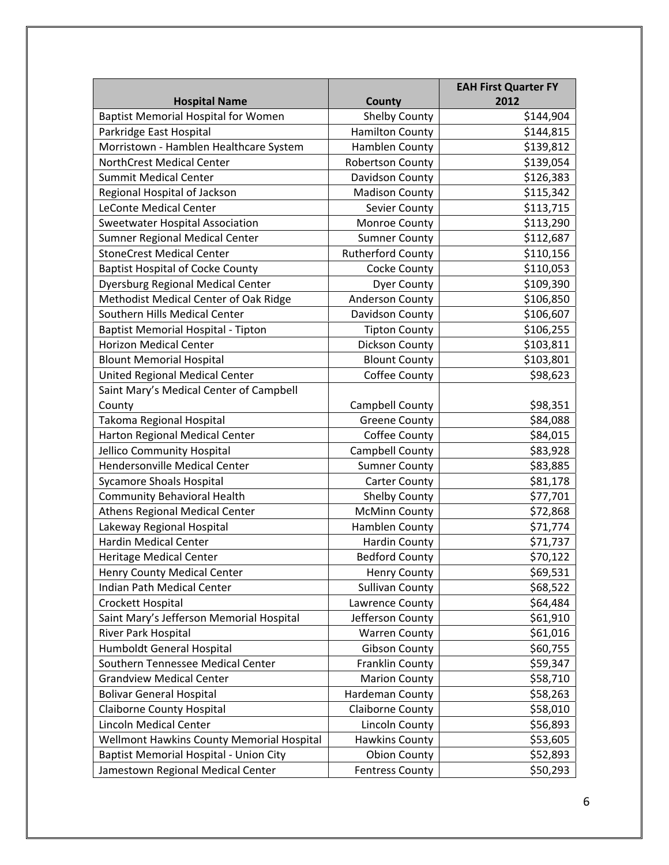|                                                  |                          | <b>EAH First Quarter FY</b> |
|--------------------------------------------------|--------------------------|-----------------------------|
| <b>Hospital Name</b>                             | <b>County</b>            | 2012                        |
| <b>Baptist Memorial Hospital for Women</b>       | <b>Shelby County</b>     | \$144,904                   |
| Parkridge East Hospital                          | <b>Hamilton County</b>   | \$144,815                   |
| Morristown - Hamblen Healthcare System           | Hamblen County           | \$139,812                   |
| NorthCrest Medical Center                        | Robertson County         | \$139,054                   |
| <b>Summit Medical Center</b>                     | Davidson County          | \$126,383                   |
| Regional Hospital of Jackson                     | <b>Madison County</b>    | \$115,342                   |
| <b>LeConte Medical Center</b>                    | Sevier County            | \$113,715                   |
| <b>Sweetwater Hospital Association</b>           | Monroe County            | \$113,290                   |
| Sumner Regional Medical Center                   | <b>Sumner County</b>     | \$112,687                   |
| <b>StoneCrest Medical Center</b>                 | <b>Rutherford County</b> | \$110,156                   |
| <b>Baptist Hospital of Cocke County</b>          | Cocke County             | \$110,053                   |
| <b>Dyersburg Regional Medical Center</b>         | <b>Dyer County</b>       | \$109,390                   |
| Methodist Medical Center of Oak Ridge            | Anderson County          | \$106,850                   |
| Southern Hills Medical Center                    | Davidson County          | \$106,607                   |
| Baptist Memorial Hospital - Tipton               | <b>Tipton County</b>     | \$106,255                   |
| <b>Horizon Medical Center</b>                    | Dickson County           | \$103,811                   |
| <b>Blount Memorial Hospital</b>                  | <b>Blount County</b>     | \$103,801                   |
| United Regional Medical Center                   | Coffee County            | \$98,623                    |
| Saint Mary's Medical Center of Campbell          |                          |                             |
| County                                           | Campbell County          | \$98,351                    |
| Takoma Regional Hospital                         | <b>Greene County</b>     | \$84,088                    |
| Harton Regional Medical Center                   | Coffee County            | \$84,015                    |
| Jellico Community Hospital                       | Campbell County          | \$83,928                    |
| <b>Hendersonville Medical Center</b>             | <b>Sumner County</b>     | \$83,885                    |
| <b>Sycamore Shoals Hospital</b>                  | <b>Carter County</b>     | \$81,178                    |
| <b>Community Behavioral Health</b>               | <b>Shelby County</b>     | \$77,701                    |
| <b>Athens Regional Medical Center</b>            | <b>McMinn County</b>     | \$72,868                    |
| Lakeway Regional Hospital                        | Hamblen County           | \$71,774                    |
| <b>Hardin Medical Center</b>                     | <b>Hardin County</b>     | \$71,737                    |
| <b>Heritage Medical Center</b>                   | <b>Bedford County</b>    | \$70,122                    |
| Henry County Medical Center                      | <b>Henry County</b>      | \$69,531                    |
| Indian Path Medical Center                       | <b>Sullivan County</b>   | \$68,522                    |
| Crockett Hospital                                | Lawrence County          | \$64,484                    |
| Saint Mary's Jefferson Memorial Hospital         | Jefferson County         | \$61,910                    |
| River Park Hospital                              | <b>Warren County</b>     | \$61,016                    |
| Humboldt General Hospital                        | <b>Gibson County</b>     | \$60,755                    |
| Southern Tennessee Medical Center                | Franklin County          | \$59,347                    |
| <b>Grandview Medical Center</b>                  | <b>Marion County</b>     | \$58,710                    |
| <b>Bolivar General Hospital</b>                  | Hardeman County          | \$58,263                    |
| <b>Claiborne County Hospital</b>                 | <b>Claiborne County</b>  | \$58,010                    |
| Lincoln Medical Center                           | Lincoln County           | \$56,893                    |
| <b>Wellmont Hawkins County Memorial Hospital</b> | <b>Hawkins County</b>    | \$53,605                    |
| Baptist Memorial Hospital - Union City           | <b>Obion County</b>      | \$52,893                    |
| Jamestown Regional Medical Center                | <b>Fentress County</b>   | \$50,293                    |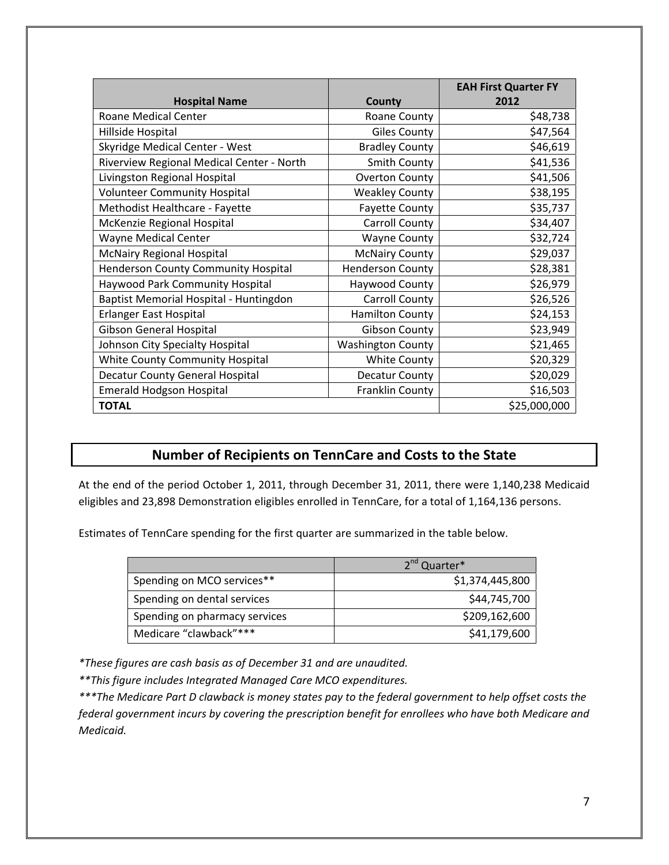|                                           |                          | <b>EAH First Quarter FY</b> |
|-------------------------------------------|--------------------------|-----------------------------|
| <b>Hospital Name</b>                      | <b>County</b>            | 2012                        |
| <b>Roane Medical Center</b>               | Roane County             | \$48,738                    |
| Hillside Hospital                         | <b>Giles County</b>      | \$47,564                    |
| Skyridge Medical Center - West            | <b>Bradley County</b>    | \$46,619                    |
| Riverview Regional Medical Center - North | Smith County             | \$41,536                    |
| Livingston Regional Hospital              | <b>Overton County</b>    | \$41,506                    |
| <b>Volunteer Community Hospital</b>       | <b>Weakley County</b>    | \$38,195                    |
| Methodist Healthcare - Fayette            | <b>Fayette County</b>    | \$35,737                    |
| McKenzie Regional Hospital                | Carroll County           | \$34,407                    |
| <b>Wayne Medical Center</b>               | <b>Wayne County</b>      | \$32,724                    |
| <b>McNairy Regional Hospital</b>          | <b>McNairy County</b>    | \$29,037                    |
| Henderson County Community Hospital       | <b>Henderson County</b>  | \$28,381                    |
| Haywood Park Community Hospital           | Haywood County           | \$26,979                    |
| Baptist Memorial Hospital - Huntingdon    | Carroll County           | \$26,526                    |
| Erlanger East Hospital                    | <b>Hamilton County</b>   | \$24,153                    |
| Gibson General Hospital                   | <b>Gibson County</b>     | \$23,949                    |
| Johnson City Specialty Hospital           | <b>Washington County</b> | \$21,465                    |
| White County Community Hospital           | <b>White County</b>      | \$20,329                    |
| <b>Decatur County General Hospital</b>    | Decatur County           | \$20,029                    |
| <b>Emerald Hodgson Hospital</b>           | Franklin County          | \$16,503                    |
| <b>TOTAL</b>                              |                          | \$25,000,000                |

### **Number of Recipients on TennCare and Costs to the State**

At the end of the period October 1, 2011, through December 31, 2011, there were 1,140,238 Medicaid eligibles and 23,898 Demonstration eligibles enrolled in TennCare, for a total of 1,164,136 persons.

Estimates of TennCare spending for the first quarter are summarized in the table below.

|                               | 2 <sup>nd</sup> Quarter* |
|-------------------------------|--------------------------|
| Spending on MCO services**    | \$1,374,445,800          |
| Spending on dental services   | \$44,745,700             |
| Spending on pharmacy services | \$209,162,600            |
| Medicare "clawback"***        | \$41,179,600             |

*\*These figures are cash basis as of December 31 and are unaudited.*

*\*\*This figure includes Integrated Managed Care MCO expenditures.*

\*\*\* The Medicare Part D clawback is money states pay to the federal government to help offset costs the *federal government incurs by covering the prescription benefit for enrollees who have both Medicare and Medicaid.*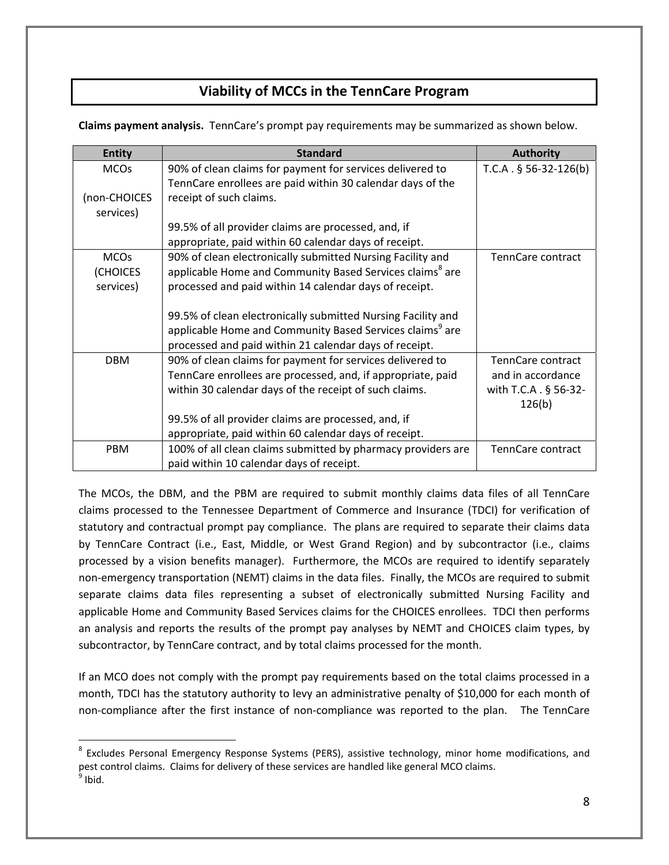### **Viability of MCCs in the TennCare Program**

**Claims payment analysis.** TennCare's prompt pay requirements may be summarized as shown below.

| <b>Entity</b> | <b>Standard</b>                                                      | <b>Authority</b>         |
|---------------|----------------------------------------------------------------------|--------------------------|
| <b>MCOs</b>   | 90% of clean claims for payment for services delivered to            | $T.C.A. § 56-32-126(b)$  |
|               | TennCare enrollees are paid within 30 calendar days of the           |                          |
| (non-CHOICES  | receipt of such claims.                                              |                          |
| services)     |                                                                      |                          |
|               | 99.5% of all provider claims are processed, and, if                  |                          |
|               | appropriate, paid within 60 calendar days of receipt.                |                          |
| <b>MCOs</b>   | 90% of clean electronically submitted Nursing Facility and           | <b>TennCare contract</b> |
| (CHOICES      | applicable Home and Community Based Services claims <sup>8</sup> are |                          |
| services)     | processed and paid within 14 calendar days of receipt.               |                          |
|               |                                                                      |                          |
|               | 99.5% of clean electronically submitted Nursing Facility and         |                          |
|               | applicable Home and Community Based Services claims <sup>9</sup> are |                          |
|               | processed and paid within 21 calendar days of receipt.               |                          |
| <b>DBM</b>    | 90% of clean claims for payment for services delivered to            | TennCare contract        |
|               | TennCare enrollees are processed, and, if appropriate, paid          | and in accordance        |
|               | within 30 calendar days of the receipt of such claims.               | with T.C.A . § 56-32-    |
|               |                                                                      | 126(b)                   |
|               | 99.5% of all provider claims are processed, and, if                  |                          |
|               | appropriate, paid within 60 calendar days of receipt.                |                          |
| <b>PBM</b>    | 100% of all clean claims submitted by pharmacy providers are         | <b>TennCare contract</b> |
|               | paid within 10 calendar days of receipt.                             |                          |

The MCOs, the DBM, and the PBM are required to submit monthly claims data files of all TennCare claims processed to the Tennessee Department of Commerce and Insurance (TDCI) for verification of statutory and contractual prompt pay compliance. The plans are required to separate their claims data by TennCare Contract (i.e., East, Middle, or West Grand Region) and by subcontractor (i.e., claims processed by a vision benefits manager). Furthermore, the MCOs are required to identify separately non-emergency transportation (NEMT) claims in the data files. Finally, the MCOs are required to submit separate claims data files representing a subset of electronically submitted Nursing Facility and applicable Home and Community Based Services claims for the CHOICES enrollees. TDCI then performs an analysis and reports the results of the prompt pay analyses by NEMT and CHOICES claim types, by subcontractor, by TennCare contract, and by total claims processed for the month.

If an MCO does not comply with the prompt pay requirements based on the total claims processed in a month, TDCI has the statutory authority to levy an administrative penalty of \$10,000 for each month of non-compliance after the first instance of non-compliance was reported to the plan. The TennCare

<sup>&</sup>lt;sup>8</sup> Excludes Personal Emergency Response Systems (PERS), assistive technology, minor home modifications, and pest control claims. Claims for delivery of these services are handled like general MCO claims.<br><sup>9</sup> Ibid.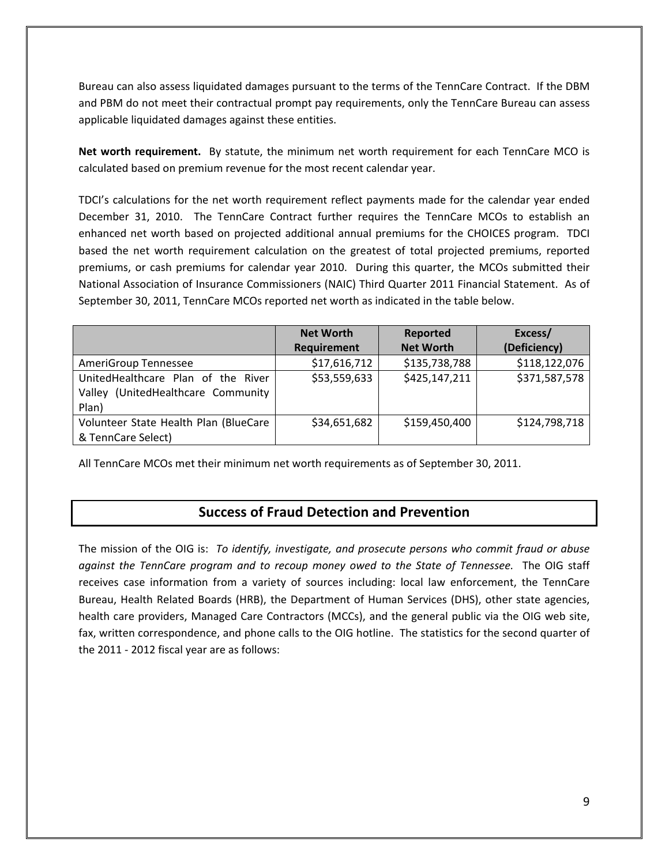Bureau can also assess liquidated damages pursuant to the terms of the TennCare Contract. If the DBM and PBM do not meet their contractual prompt pay requirements, only the TennCare Bureau can assess applicable liquidated damages against these entities.

**Net worth requirement.** By statute, the minimum net worth requirement for each TennCare MCO is calculated based on premium revenue for the most recent calendar year.

TDCI's calculations for the net worth requirement reflect payments made for the calendar year ended December 31, 2010. The TennCare Contract further requires the TennCare MCOs to establish an enhanced net worth based on projected additional annual premiums for the CHOICES program. TDCI based the net worth requirement calculation on the greatest of total projected premiums, reported premiums, or cash premiums for calendar year 2010. During this quarter, the MCOs submitted their National Association of Insurance Commissioners (NAIC) Third Quarter 2011 Financial Statement. As of September 30, 2011, TennCare MCOs reported net worth as indicated in the table below.

|                                       | <b>Net Worth</b> | Reported         | Excess/       |
|---------------------------------------|------------------|------------------|---------------|
|                                       | Requirement      | <b>Net Worth</b> | (Deficiency)  |
| AmeriGroup Tennessee                  | \$17,616,712     | \$135,738,788    | \$118,122,076 |
| UnitedHealthcare Plan of the River    | \$53,559,633     | \$425,147,211    | \$371,587,578 |
| Valley (UnitedHealthcare Community    |                  |                  |               |
| Plan)                                 |                  |                  |               |
| Volunteer State Health Plan (BlueCare | \$34,651,682     | \$159,450,400    | \$124,798,718 |
| & TennCare Select)                    |                  |                  |               |

All TennCare MCOs met their minimum net worth requirements as of September 30, 2011.

### **Success of Fraud Detection and Prevention**

The mission of the OIG is: *To identify, investigate, and prosecute persons who commit fraud or abuse against the TennCare program and to recoup money owed to the State of Tennessee.*  The OIG staff receives case information from a variety of sources including: local law enforcement, the TennCare Bureau, Health Related Boards (HRB), the Department of Human Services (DHS), other state agencies, health care providers, Managed Care Contractors (MCCs), and the general public via the OIG web site, fax, written correspondence, and phone calls to the OIG hotline. The statistics for the second quarter of the 2011 ‐ 2012 fiscal year are as follows: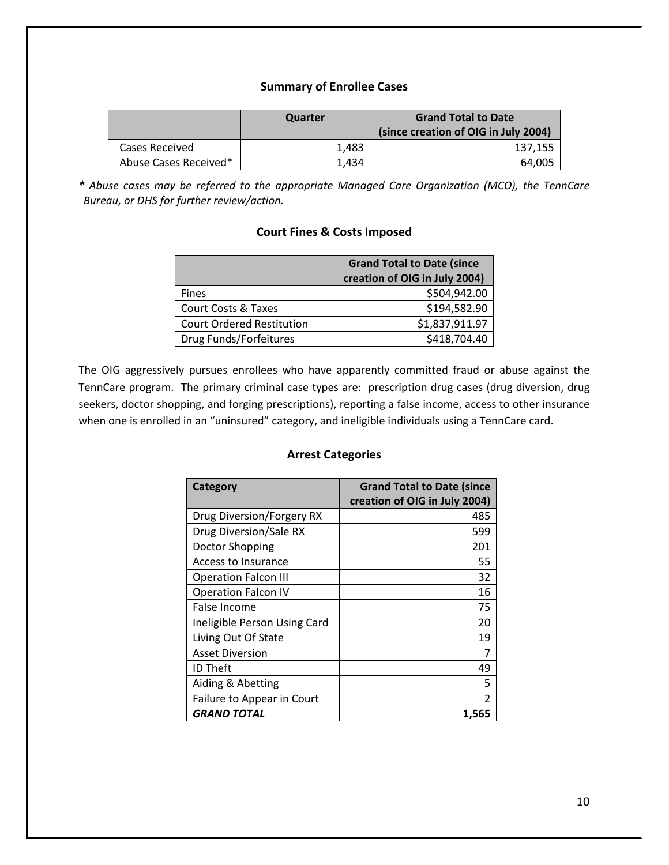#### **Summary of Enrollee Cases**

|                       | Quarter | <b>Grand Total to Date</b><br>(since creation of OIG in July 2004) |
|-----------------------|---------|--------------------------------------------------------------------|
| Cases Received        | 1.483   | 137,155                                                            |
| Abuse Cases Received* | 1.434   | 64.005                                                             |

*\* Abuse cases may be referred to the appropriate Managed Care Organization (MCO), the TennCare Bureau, or DHS for further review/action.*

#### **Court Fines & Costs Imposed**

|                                  | <b>Grand Total to Date (since</b> |
|----------------------------------|-----------------------------------|
|                                  | creation of OIG in July 2004)     |
| <b>Fines</b>                     | \$504,942.00                      |
| <b>Court Costs &amp; Taxes</b>   | \$194,582.90                      |
| <b>Court Ordered Restitution</b> | \$1,837,911.97                    |
| Drug Funds/Forfeitures           | \$418,704.40                      |

The OIG aggressively pursues enrollees who have apparently committed fraud or abuse against the TennCare program. The primary criminal case types are: prescription drug cases (drug diversion, drug seekers, doctor shopping, and forging prescriptions), reporting a false income, access to other insurance when one is enrolled in an "uninsured" category, and ineligible individuals using a TennCare card.

#### **Arrest Categories**

| Category                     | <b>Grand Total to Date (since</b> |
|------------------------------|-----------------------------------|
|                              | creation of OIG in July 2004)     |
| Drug Diversion/Forgery RX    | 485                               |
| Drug Diversion/Sale RX       | 599                               |
| Doctor Shopping              | 201                               |
| Access to Insurance          | 55                                |
| <b>Operation Falcon III</b>  | 32                                |
| <b>Operation Falcon IV</b>   | 16                                |
| False Income                 | 75                                |
| Ineligible Person Using Card | 20                                |
| Living Out Of State          | 19                                |
| <b>Asset Diversion</b>       | 7                                 |
| <b>ID Theft</b>              | 49                                |
| Aiding & Abetting            | 5                                 |
| Failure to Appear in Court   | $\mathfrak z$                     |
| <b>GRAND TOTAL</b>           | 1,565                             |